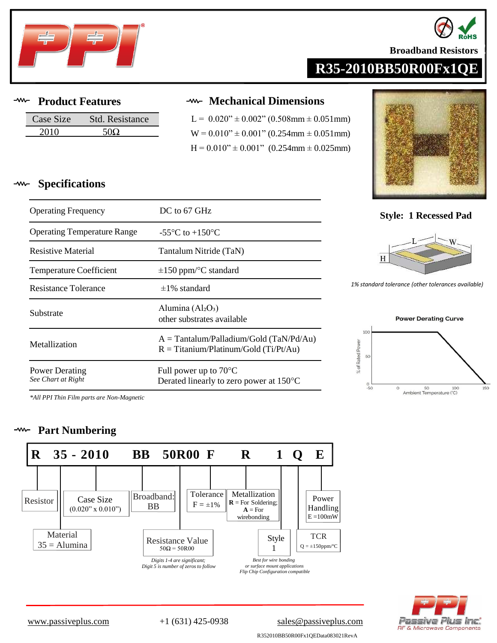



**Broadband Resistors** 

# **R35-2010BB50R00Fx1QE**

#### $-*www* -$ **Product Features**

| Case Size | Std. Resistance |
|-----------|-----------------|
| ንስ1ስ      |                 |

## **Mechanical Dimensions**

 $L = 0.020" \pm 0.002"$  (0.508mm  $\pm$  0.051mm)  $W = 0.010" \pm 0.001"$  (0.254mm  $\pm$  0.051mm)  $H = 0.010" \pm 0.001"$  (0.254mm  $\pm$  0.025mm)



### **Specifications** ્∧

| <b>Operating Frequency</b>                  | DC to 67 GHz                                                                         |
|---------------------------------------------|--------------------------------------------------------------------------------------|
| <b>Operating Temperature Range</b>          | $-55^{\circ}$ C to $+150^{\circ}$ C                                                  |
| Resistive Material                          | Tantalum Nitride (TaN)                                                               |
| <b>Temperature Coefficient</b>              | $\pm 150$ ppm/°C standard                                                            |
| Resistance Tolerance                        | $\pm 1\%$ standard                                                                   |
| Substrate                                   | Alumina $(Al_2O_3)$<br>other substrates available                                    |
| Metallization                               | $A = Tantalum/Palladium/Gold (TaN/Pd/Au)$<br>$R = Titanium/Platinum/Gold (Ti/Pt/Au)$ |
| <b>Power Derating</b><br>See Chart at Right | Full power up to $70^{\circ}$ C<br>Derated linearly to zero power at 150 °C          |

### **Style: 1 Recessed Pad**



1% standard *tolerance* (other *tolerances* available)



*\*All PPI Thin Film parts are Non-Magnetic*

### **Part Numbering**  $\mathcal{W}$





[www.passiveplus.com](http://www.passiveplus.com) +1 (631) 425-0938 [sales@passiveplus.com](mailto:sales@passiveplus.com)

R352010BB50R00Fx1QEData083021RevA